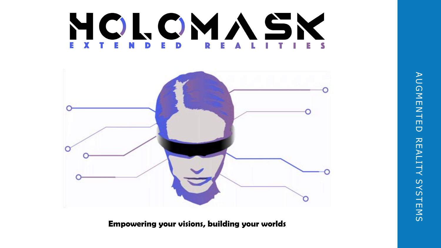AU G M E N T E D AUGMENTED REALITY SYSTEMS REALITY SYSTEMS

### NOLOMASK E. D



**Empowering your visions, building your worlds**

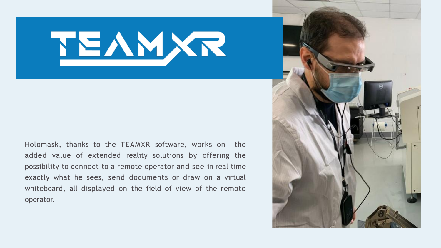

Holomask, thanks to the TEAMXR software, works on the added value of extended reality solutions by offering the possibility to connect to a remote operator and see in real time exactly what he sees, send documents or draw on a virtual whiteboard, all displayed on the field of view of the remote operator.

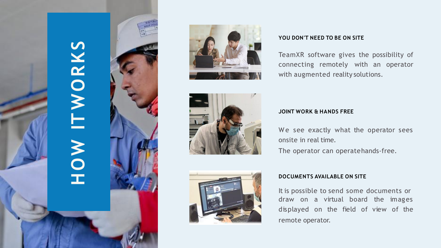







#### **YOU DON'T NEED TO BE ON SITE**

We see exactly what the operator sees onsite in real time.

TeamXR software gives the possibility of connecting remotely with an operator with augmented reality solutions .

draw on a virtual board the images<br>displayed on the field of view of the on the field of view of the remote operator. It is possible to send some documents or

#### **JOINT WORK & HANDS FREE**

The operator can operatehands -free.

#### **DOCUMENTS AVAILABLE ON SITE**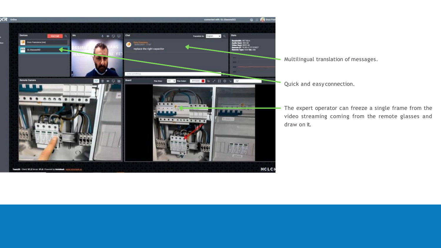

Multilingual translation of messages.

Quick and easy connection.

The expert operator can freeze a single frame from the video streaming coming from the remote glasses and draw on it.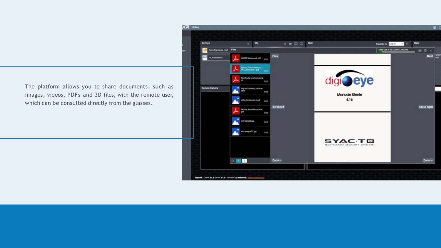The platform allows you to share documents, such as images, videos, PDFs and 3D files, with the remote user, which can be consulted directly from the glasses.

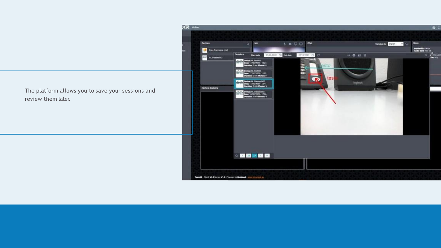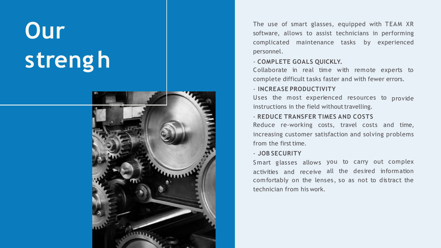The use of smart glasses, equipped with TEAM XR software, allows to assist technicians in performing complicated maintenance tasks by experienced

# Our<br>strengh



personnel .

Collaborate in real time with remote experts to complete difficult tasks faster and with fewer errors.

#### - **COMPLETE GOALS QUICKLY.**

Reduce re -working costs, travel costs and time, increasing customer satisfaction and solving problems from the first time.

#### - **INCREASE PRODUCTIVITY**

Uses the most experienced resources to provide instructions in the field without travelling.

#### - **REDUCE TRANSFER TIMES AND COSTS**

Smart glasses allows you to carry out complex activities and receive all the desired information comfortably on the lenses, so as not to distract the technician from his work.

#### - **JOB SECURITY**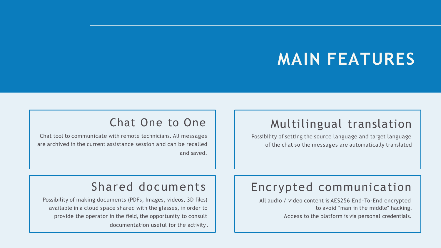# **MAIN FEATURES**

### Shared documents

Possibility of making documents (PDFs, Images, videos, 3D files) available in a cloud space shared with the glasses, in order to provide the operator in the field, the opportunity to consult documentation useful for the activity.

### Encrypted communication

All audio / video content is AES256 End-To-End encrypted to avoid "man in the middle" hacking. Access to the platform is via personal credentials.

### Chat One to One

Chat tool to communicate with remote technicians. All messages are archived in the current assistance session and can be recalled and saved.

### Multilingual translation

Possibility of setting the source language and target language of the chat so the messages are automatically translated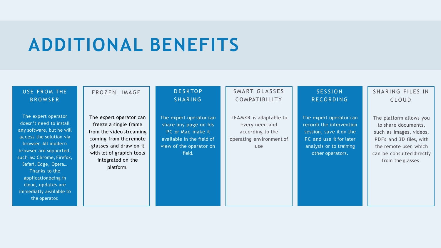# **ADDITIONAL BENEFITS**

#### USE FROM THE **BROWSER**

The expert operator can freeze a single frame from the video streaming coming from the remote glasses and draw on it with lot of grapich tools integrated on the platform.

#### **DESKTOP SHARING**

The expert operator doesn't need to install any software, but he will access the solution via browser. All modern browser are sopported, such as: Chrome, Firefox, Safari, Edge, Opera… Thanks to the applicationbeing in cloud, updates are immediatly available to the operator.

#### FROZEN IMAGE

#### SHARING FILES IN C L O U D

TEAMXR is adaptable to every need and according to the operating environment of use

#### **SESSION RECORDING**

The expert operator can share any page on his PC or Mac make it available in the field of view of the operator on field.

#### SMART GLASSES COMPATIBILITY

The expert operator can recordi the intervention session, save it on the PC and use it for later analysis or to training other operators.

The platform allows you to share documents, such as images, videos, PDFs and 3D files, with the remote user, which can be consulted directly from the glasses.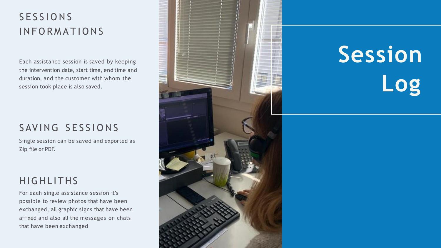# **Session Log**

### **SESSIONS INFORMATIONS**

Each assistance session is saved by keeping the intervention date, start time, end time and duration, and the customer with whom the session took place is also saved.

### SAVING SESSIONS

Single session can be saved and exported as Zip file or PDF.

### HIG HLITHS

For each single assistance session it's possible to review photos that have been exchanged, all graphic signs that have been affixed and also all the messages on chats that have been exchanged

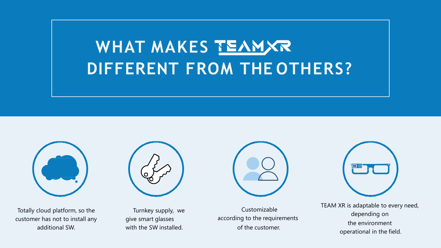# **WHAT MAKES DIFFERENT FROM THE OTHERS?**



Totally cloud platform, so the customer has not to install any additional SW.



Turnkey supply, we give smart glasses with the SW installed.



Customizable according to the requirements of the customer.



TEAM XR is adaptable to every need, depending on the environment operational in the field.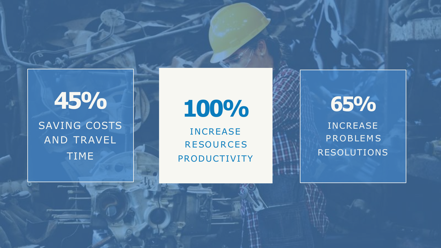## **45%** SAVING COSTS AND TRAVEL TIME

INCREASE<br>RESOURCES PRODUCTIVITY

# **100%**

**65%** INCREASE **PROBLEMS** RESOLUTIONS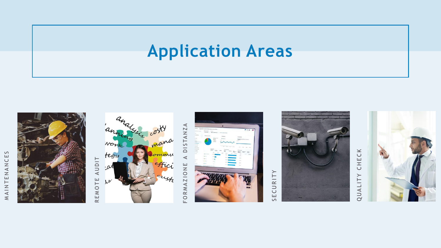# **Application Areas**



M A I N T E N A I N C E S

MAINTENANCES

**AUDIT** R E M O T E AUDIT REMOTE



F O R M A Z I O N E A D I S TA N Z A ◁ STANZ  $\Box$  $\blacktriangleleft$ FORMAZIONE



# S E C U R I T Y



## CHECK QUALITY CHECK QUALITY